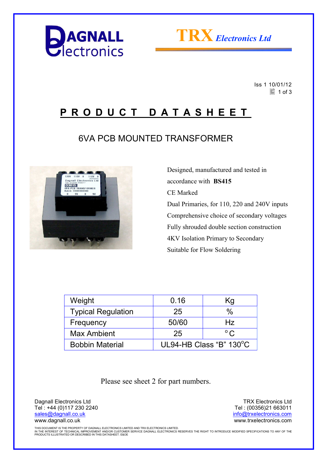



 Iss 1 10/01/12  $\equiv$  1 of 3

## **P R O D U C T D A T A S H E E T**

## 6VA PCB MOUNTED TRANSFORMER



 Designed, manufactured and tested in accordance with **BS415**  CE Marked Dual Primaries, for 110, 220 and 240V inputs Comprehensive choice of secondary voltages Fully shrouded double section construction 4KV Isolation Primary to Secondary Suitable for Flow Soldering

| Weight                    | 0.16                    | Κg           |
|---------------------------|-------------------------|--------------|
| <b>Typical Regulation</b> | 25                      | $\%$         |
| Frequency                 | 50/60                   | Hz           |
| <b>Max Ambient</b>        | 25                      | $^{\circ}$ C |
| <b>Bobbin Material</b>    | UL94-HB Class "B" 130°C |              |

Please see sheet 2 for part numbers.

Dagnall Electronics Ltd Tel : +44 (0)117 230 2240 sales@dagnall.co.uk www.dagnall.co.uk

TRX Electronics Ltd Tel : (00356)21 663011 info@trxelectronics.com www.trxelectronics.com

THIS DOCUMENT IS THE PROPERTY OF DAGNALL ELECTRONICS LIMITED AND TRX ELECTRONICS LIMITED.<br>IN THE INTEREST OF TECHNICAL IMPROVEMENT AND/OR CUSTOMER SERVICE DAGNALL ELECTRONICS RESERVES THE RIGHT TO INTRODUCE MODIFIED SPECIF PRODUCTS ILLUSTRATED OR DESCRIBED IN THIS DATASHEET. E&OE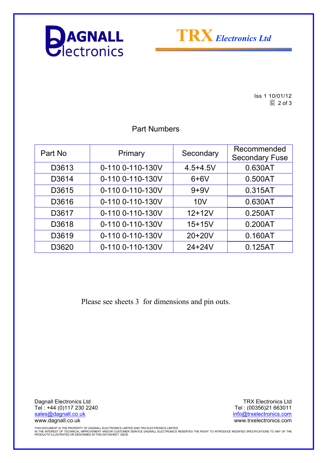



Iss 1 10/01/12  $\boxed{2}$  of 3

#### Part Numbers

| Part No | Primary          | Secondary    | Recommended<br><b>Secondary Fuse</b> |
|---------|------------------|--------------|--------------------------------------|
| D3613   | 0-110 0-110-130V | $4.5 + 4.5V$ | 0.630AT                              |
| D3614   | 0-110 0-110-130V | $6+6V$       | 0.500AT                              |
| D3615   | 0-110 0-110-130V | $9+9V$       | 0.315AT                              |
| D3616   | 0-110 0-110-130V | 10V          | 0.630AT                              |
| D3617   | 0-110 0-110-130V | $12+12V$     | 0.250AT                              |
| D3618   | 0-110 0-110-130V | $15 + 15V$   | 0.200AT                              |
| D3619   | 0-110 0-110-130V | 20+20V       | 0.160AT                              |
| D3620   | 0-110 0-110-130V | $24 + 24V$   | 0.125AT                              |

Please see sheets 3 for dimensions and pin outs.

Dagnall Electronics Ltd Tel : +44 (0)117 230 2240 sales@dagnall.co.uk www.dagnall.co.uk

TRX Electronics Ltd Tel : (00356)21 663011 info@trxelectronics.com www.trxelectronics.com

THIS DOCUMENT IS THE PROPERTY OF DAGNALL ELECTRONICS LIMITED AND TRX ELECTRONICS LIMITED.<br>IN THE INTEREST OF TECHNICAL IMPROVEMENT AND/OR CUSTOMER SERVICE DAGNALL ELECTRONICS RESERVES THE RIGHT TO INTRODUCE MODIFIED SPECIF